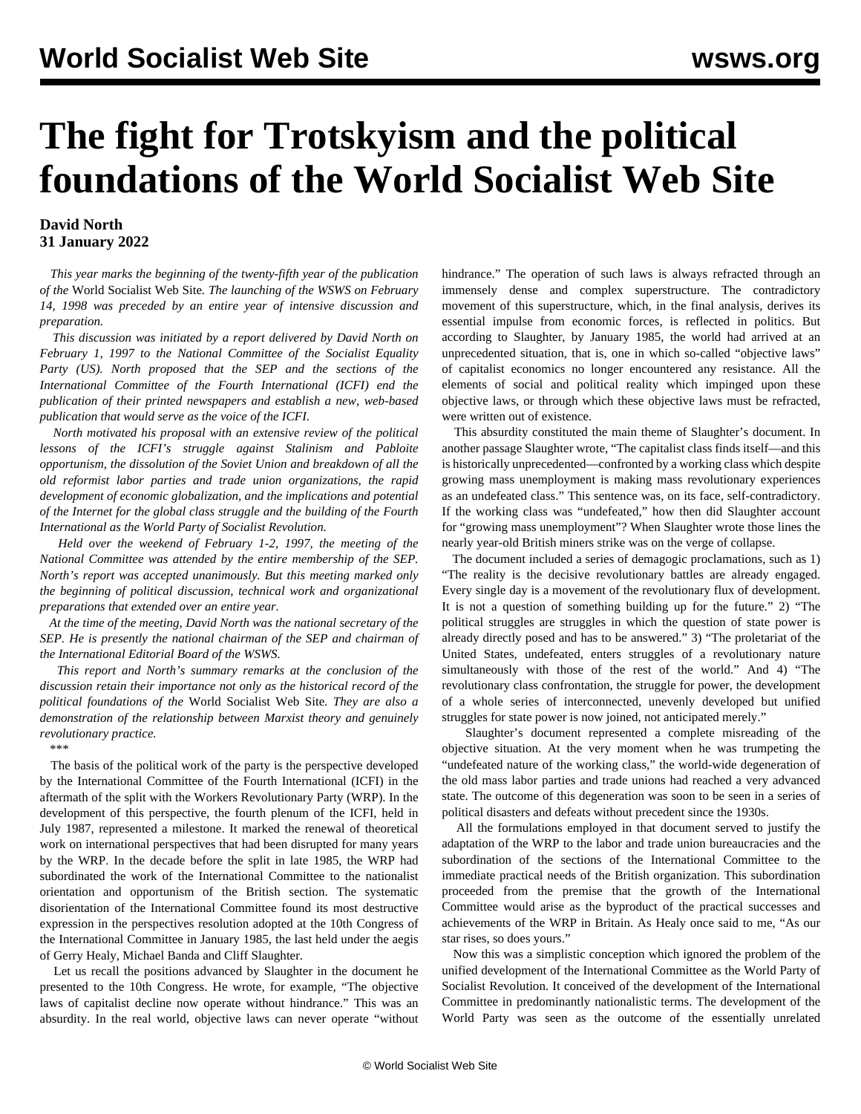## **The fight for Trotskyism and the political foundations of the World Socialist Web Site**

## **David North 31 January 2022**

 *This year marks the beginning of the twenty-fifth year of the publication of the* World Socialist Web Site*. The launching of the WSWS on February 14, 1998 was preceded by an entire year of intensive discussion and preparation.*

 *This discussion was initiated by a report delivered by David North on February 1, 1997 to the National Committee of the Socialist Equality Party (US). North proposed that the SEP and the sections of the International Committee of the Fourth International (ICFI) end the publication of their printed newspapers and establish a new, web-based publication that would serve as the voice of the ICFI.* 

 *North motivated his proposal with an extensive review of the political lessons of the ICFI's struggle against Stalinism and Pabloite opportunism, the dissolution of the Soviet Union and breakdown of all the old reformist labor parties and trade union organizations, the rapid development of economic globalization, and the implications and potential of the Internet for the global class struggle and the building of the Fourth International as the World Party of Socialist Revolution.*

 *Held over the weekend of February 1-2, 1997, the meeting of the National Committee was attended by the entire membership of the SEP. North's report was accepted unanimously. But this meeting marked only the beginning of political discussion, technical work and organizational preparations that extended over an entire year.* 

 *At the time of the meeting, David North was the national secretary of the SEP. He is presently the national chairman of the SEP and chairman of the International Editorial Board of the WSWS.*

 *This report and North's [summary remarks](/en/articles/2022/02/01/dnor-f01.html#reply) at the conclusion of the discussion retain their importance not only as the historical record of the political foundations of the* World Socialist Web Site*. They are also a demonstration of the relationship between Marxist theory and genuinely revolutionary practice.*

*\*\*\**

 The basis of the political work of the party is the perspective developed by the International Committee of the Fourth International (ICFI) in the aftermath of the split with the Workers Revolutionary Party (WRP). In the development of this perspective, the fourth plenum of the ICFI, held in July 1987, represented a milestone. It marked the renewal of theoretical work on international perspectives that had been disrupted for many years by the WRP. In the decade before the split in late 1985, the WRP had subordinated the work of the International Committee to the nationalist orientation and opportunism of the British section. The systematic disorientation of the International Committee found its most destructive expression in the perspectives resolution adopted at the 10th Congress of the International Committee in January 1985, the last held under the aegis of Gerry Healy, Michael Banda and Cliff Slaughter.

 Let us recall the positions advanced by Slaughter in the document he presented to the 10th Congress. He wrote, for example, "The objective laws of capitalist decline now operate without hindrance." This was an absurdity. In the real world, objective laws can never operate "without hindrance." The operation of such laws is always refracted through an immensely dense and complex superstructure. The contradictory movement of this superstructure, which, in the final analysis, derives its essential impulse from economic forces, is reflected in politics. But according to Slaughter, by January 1985, the world had arrived at an unprecedented situation, that is, one in which so-called "objective laws" of capitalist economics no longer encountered any resistance. All the elements of social and political reality which impinged upon these objective laws, or through which these objective laws must be refracted, were written out of existence.

 This absurdity constituted the main theme of Slaughter's document. In another passage Slaughter wrote, "The capitalist class finds itself—and this is historically unprecedented—confronted by a working class which despite growing mass unemployment is making mass revolutionary experiences as an undefeated class." This sentence was, on its face, self-contradictory. If the working class was "undefeated," how then did Slaughter account for "growing mass unemployment"? When Slaughter wrote those lines the nearly year-old British miners strike was on the verge of collapse.

 The document included a series of demagogic proclamations, such as 1) "The reality is the decisive revolutionary battles are already engaged. Every single day is a movement of the revolutionary flux of development. It is not a question of something building up for the future." 2) "The political struggles are struggles in which the question of state power is already directly posed and has to be answered." 3) "The proletariat of the United States, undefeated, enters struggles of a revolutionary nature simultaneously with those of the rest of the world." And 4) "The revolutionary class confrontation, the struggle for power, the development of a whole series of interconnected, unevenly developed but unified struggles for state power is now joined, not anticipated merely."

 Slaughter's document represented a complete misreading of the objective situation. At the very moment when he was trumpeting the "undefeated nature of the working class," the world-wide degeneration of the old mass labor parties and trade unions had reached a very advanced state. The outcome of this degeneration was soon to be seen in a series of political disasters and defeats without precedent since the 1930s.

 All the formulations employed in that document served to justify the adaptation of the WRP to the labor and trade union bureaucracies and the subordination of the sections of the International Committee to the immediate practical needs of the British organization. This subordination proceeded from the premise that the growth of the International Committee would arise as the byproduct of the practical successes and achievements of the WRP in Britain. As Healy once said to me, "As our star rises, so does yours."

 Now this was a simplistic conception which ignored the problem of the unified development of the International Committee as the World Party of Socialist Revolution. It conceived of the development of the International Committee in predominantly nationalistic terms. The development of the World Party was seen as the outcome of the essentially unrelated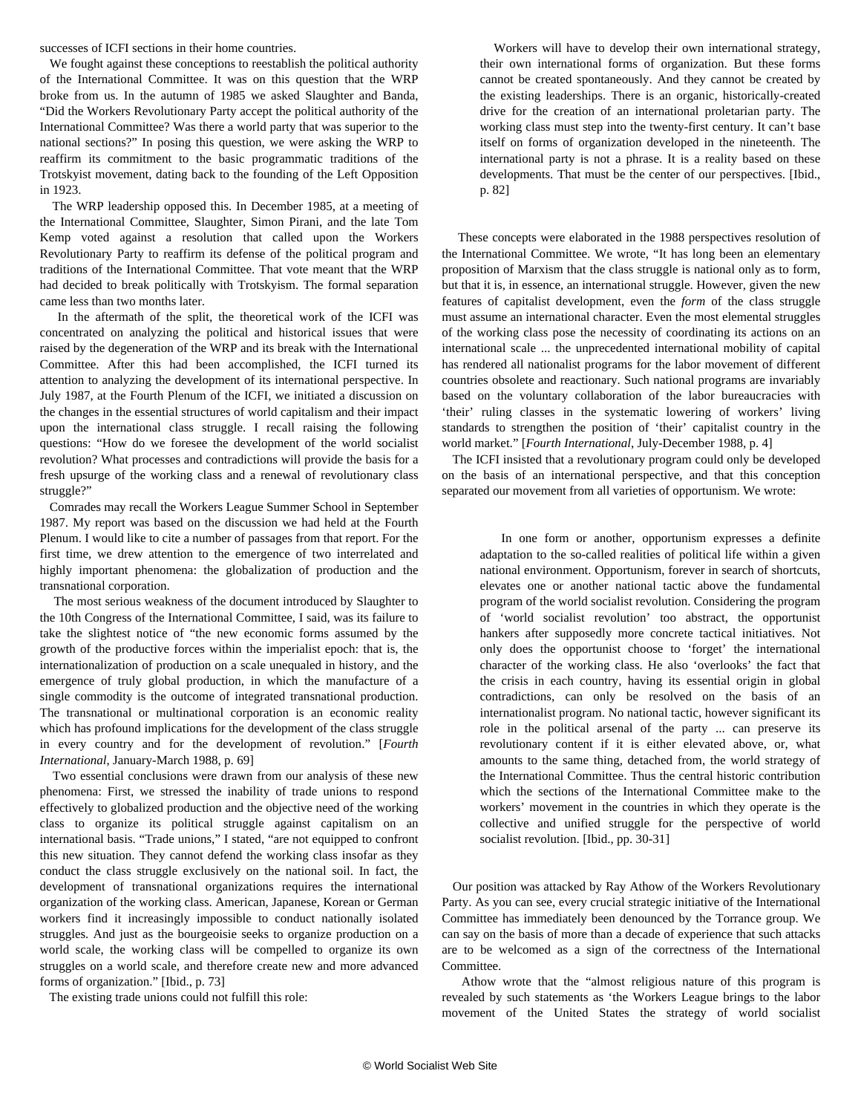successes of ICFI sections in their home countries.

 We fought against these conceptions to reestablish the political authority of the International Committee. It was on this question that the WRP broke from us. In the autumn of 1985 we asked Slaughter and Banda, "Did the Workers Revolutionary Party accept the political authority of the International Committee? Was there a world party that was superior to the national sections?" In posing this question, we were asking the WRP to reaffirm its commitment to the basic programmatic traditions of the Trotskyist movement, dating back to the founding of the Left Opposition in 1923.

 The WRP leadership opposed this. In December 1985, at a meeting of the International Committee, Slaughter, Simon Pirani, and the late Tom Kemp voted against a resolution that called upon the Workers Revolutionary Party to reaffirm its defense of the political program and traditions of the International Committee. That vote meant that the WRP had decided to break politically with Trotskyism. The formal separation came less than two months later.

 In the aftermath of the split, the theoretical work of the ICFI was concentrated on analyzing the political and historical issues that were raised by the degeneration of the WRP and its break with the International Committee. After this had been accomplished, the ICFI turned its attention to analyzing the development of its international perspective. In July 1987, at the Fourth Plenum of the ICFI, we initiated a discussion on the changes in the essential structures of world capitalism and their impact upon the international class struggle. I recall raising the following questions: "How do we foresee the development of the world socialist revolution? What processes and contradictions will provide the basis for a fresh upsurge of the working class and a renewal of revolutionary class struggle?"

 Comrades may recall the Workers League Summer School in September 1987. My report was based on the discussion we had held at the Fourth Plenum. I would like to cite a number of passages from that report. For the first time, we drew attention to the emergence of two interrelated and highly important phenomena: the globalization of production and the transnational corporation.

 The most serious weakness of the document introduced by Slaughter to the 10th Congress of the International Committee, I said, was its failure to take the slightest notice of "the new economic forms assumed by the growth of the productive forces within the imperialist epoch: that is, the internationalization of production on a scale unequaled in history, and the emergence of truly global production, in which the manufacture of a single commodity is the outcome of integrated transnational production. The transnational or multinational corporation is an economic reality which has profound implications for the development of the class struggle in every country and for the development of revolution." [*Fourth International*, January-March 1988, p. 69]

 Two essential conclusions were drawn from our analysis of these new phenomena: First, we stressed the inability of trade unions to respond effectively to globalized production and the objective need of the working class to organize its political struggle against capitalism on an international basis. "Trade unions," I stated, "are not equipped to confront this new situation. They cannot defend the working class insofar as they conduct the class struggle exclusively on the national soil. In fact, the development of transnational organizations requires the international organization of the working class. American, Japanese, Korean or German workers find it increasingly impossible to conduct nationally isolated struggles. And just as the bourgeoisie seeks to organize production on a world scale, the working class will be compelled to organize its own struggles on a world scale, and therefore create new and more advanced forms of organization." [Ibid., p. 73]

The existing trade unions could not fulfill this role:

 Workers will have to develop their own international strategy, their own international forms of organization. But these forms cannot be created spontaneously. And they cannot be created by the existing leaderships. There is an organic, historically-created drive for the creation of an international proletarian party. The working class must step into the twenty-first century. It can't base itself on forms of organization developed in the nineteenth. The international party is not a phrase. It is a reality based on these developments. That must be the center of our perspectives. [Ibid., p. 82]

 These concepts were elaborated in the 1988 perspectives resolution of the International Committee. We wrote, "It has long been an elementary proposition of Marxism that the class struggle is national only as to form, but that it is, in essence, an international struggle. However, given the new features of capitalist development, even the *form* of the class struggle must assume an international character. Even the most elemental struggles of the working class pose the necessity of coordinating its actions on an international scale ... the unprecedented international mobility of capital has rendered all nationalist programs for the labor movement of different countries obsolete and reactionary. Such national programs are invariably based on the voluntary collaboration of the labor bureaucracies with 'their' ruling classes in the systematic lowering of workers' living standards to strengthen the position of 'their' capitalist country in the world market." [*Fourth International*, July-December 1988, p. 4]

 The ICFI insisted that a revolutionary program could only be developed on the basis of an international perspective, and that this conception separated our movement from all varieties of opportunism. We wrote:

 In one form or another, opportunism expresses a definite adaptation to the so-called realities of political life within a given national environment. Opportunism, forever in search of shortcuts, elevates one or another national tactic above the fundamental program of the world socialist revolution. Considering the program of 'world socialist revolution' too abstract, the opportunist hankers after supposedly more concrete tactical initiatives. Not only does the opportunist choose to 'forget' the international character of the working class. He also 'overlooks' the fact that the crisis in each country, having its essential origin in global contradictions, can only be resolved on the basis of an internationalist program. No national tactic, however significant its role in the political arsenal of the party ... can preserve its revolutionary content if it is either elevated above, or, what amounts to the same thing, detached from, the world strategy of the International Committee. Thus the central historic contribution which the sections of the International Committee make to the workers' movement in the countries in which they operate is the collective and unified struggle for the perspective of world socialist revolution. [Ibid., pp. 30-31]

 Our position was attacked by Ray Athow of the Workers Revolutionary Party. As you can see, every crucial strategic initiative of the International Committee has immediately been denounced by the Torrance group. We can say on the basis of more than a decade of experience that such attacks are to be welcomed as a sign of the correctness of the International Committee.

 Athow wrote that the "almost religious nature of this program is revealed by such statements as 'the Workers League brings to the labor movement of the United States the strategy of world socialist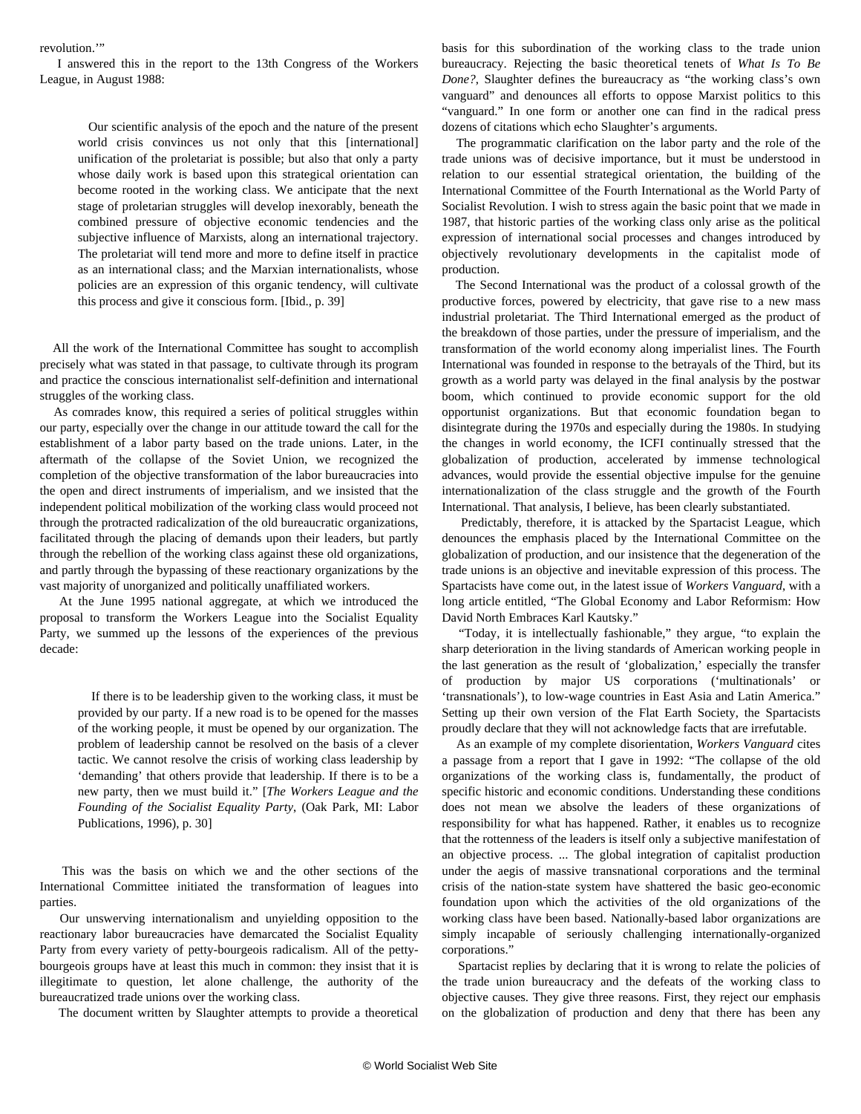revolution."

 I answered this in the report to the 13th Congress of the Workers League, in August 1988:

> Our scientific analysis of the epoch and the nature of the present world crisis convinces us not only that this [international] unification of the proletariat is possible; but also that only a party whose daily work is based upon this strategical orientation can become rooted in the working class. We anticipate that the next stage of proletarian struggles will develop inexorably, beneath the combined pressure of objective economic tendencies and the subjective influence of Marxists, along an international trajectory. The proletariat will tend more and more to define itself in practice as an international class; and the Marxian internationalists, whose policies are an expression of this organic tendency, will cultivate this process and give it conscious form. [Ibid., p. 39]

 All the work of the International Committee has sought to accomplish precisely what was stated in that passage, to cultivate through its program and practice the conscious internationalist self-definition and international struggles of the working class.

 As comrades know, this required a series of political struggles within our party, especially over the change in our attitude toward the call for the establishment of a labor party based on the trade unions. Later, in the aftermath of the collapse of the Soviet Union, we recognized the completion of the objective transformation of the labor bureaucracies into the open and direct instruments of imperialism, and we insisted that the independent political mobilization of the working class would proceed not through the protracted radicalization of the old bureaucratic organizations, facilitated through the placing of demands upon their leaders, but partly through the rebellion of the working class against these old organizations, and partly through the bypassing of these reactionary organizations by the vast majority of unorganized and politically unaffiliated workers.

 At the June 1995 national aggregate, at which we introduced the proposal to transform the Workers League into the Socialist Equality Party, we summed up the lessons of the experiences of the previous decade:

 If there is to be leadership given to the working class, it must be provided by our party. If a new road is to be opened for the masses of the working people, it must be opened by our organization. The problem of leadership cannot be resolved on the basis of a clever tactic. We cannot resolve the crisis of working class leadership by 'demanding' that others provide that leadership. If there is to be a new party, then we must build it." [*The Workers League and the Founding of the Socialist Equality Party*, (Oak Park, MI: Labor Publications, 1996), p. 30]

 This was the basis on which we and the other sections of the International Committee initiated the transformation of leagues into parties.

 Our unswerving internationalism and unyielding opposition to the reactionary labor bureaucracies have demarcated the Socialist Equality Party from every variety of petty-bourgeois radicalism. All of the pettybourgeois groups have at least this much in common: they insist that it is illegitimate to question, let alone challenge, the authority of the bureaucratized trade unions over the working class.

The document written by Slaughter attempts to provide a theoretical

basis for this subordination of the working class to the trade union bureaucracy. Rejecting the basic theoretical tenets of *What Is To Be Done?*, Slaughter defines the bureaucracy as "the working class's own vanguard" and denounces all efforts to oppose Marxist politics to this "vanguard." In one form or another one can find in the radical press dozens of citations which echo Slaughter's arguments.

 The programmatic clarification on the labor party and the role of the trade unions was of decisive importance, but it must be understood in relation to our essential strategical orientation, the building of the International Committee of the Fourth International as the World Party of Socialist Revolution. I wish to stress again the basic point that we made in 1987, that historic parties of the working class only arise as the political expression of international social processes and changes introduced by objectively revolutionary developments in the capitalist mode of production.

 The Second International was the product of a colossal growth of the productive forces, powered by electricity, that gave rise to a new mass industrial proletariat. The Third International emerged as the product of the breakdown of those parties, under the pressure of imperialism, and the transformation of the world economy along imperialist lines. The Fourth International was founded in response to the betrayals of the Third, but its growth as a world party was delayed in the final analysis by the postwar boom, which continued to provide economic support for the old opportunist organizations. But that economic foundation began to disintegrate during the 1970s and especially during the 1980s. In studying the changes in world economy, the ICFI continually stressed that the globalization of production, accelerated by immense technological advances, would provide the essential objective impulse for the genuine internationalization of the class struggle and the growth of the Fourth International. That analysis, I believe, has been clearly substantiated.

 Predictably, therefore, it is attacked by the Spartacist League, which denounces the emphasis placed by the International Committee on the globalization of production, and our insistence that the degeneration of the trade unions is an objective and inevitable expression of this process. The Spartacists have come out, in the latest issue of *Workers Vanguard*, with a long article entitled, "The Global Economy and Labor Reformism: How David North Embraces Karl Kautsky."

 "Today, it is intellectually fashionable," they argue, "to explain the sharp deterioration in the living standards of American working people in the last generation as the result of 'globalization,' especially the transfer of production by major US corporations ('multinationals' or 'transnationals'), to low-wage countries in East Asia and Latin America." Setting up their own version of the Flat Earth Society, the Spartacists proudly declare that they will not acknowledge facts that are irrefutable.

 As an example of my complete disorientation, *Workers Vanguard* cites a passage from a report that I gave in 1992: "The collapse of the old organizations of the working class is, fundamentally, the product of specific historic and economic conditions. Understanding these conditions does not mean we absolve the leaders of these organizations of responsibility for what has happened. Rather, it enables us to recognize that the rottenness of the leaders is itself only a subjective manifestation of an objective process. ... The global integration of capitalist production under the aegis of massive transnational corporations and the terminal crisis of the nation-state system have shattered the basic geo-economic foundation upon which the activities of the old organizations of the working class have been based. Nationally-based labor organizations are simply incapable of seriously challenging internationally-organized corporations."

 Spartacist replies by declaring that it is wrong to relate the policies of the trade union bureaucracy and the defeats of the working class to objective causes. They give three reasons. First, they reject our emphasis on the globalization of production and deny that there has been any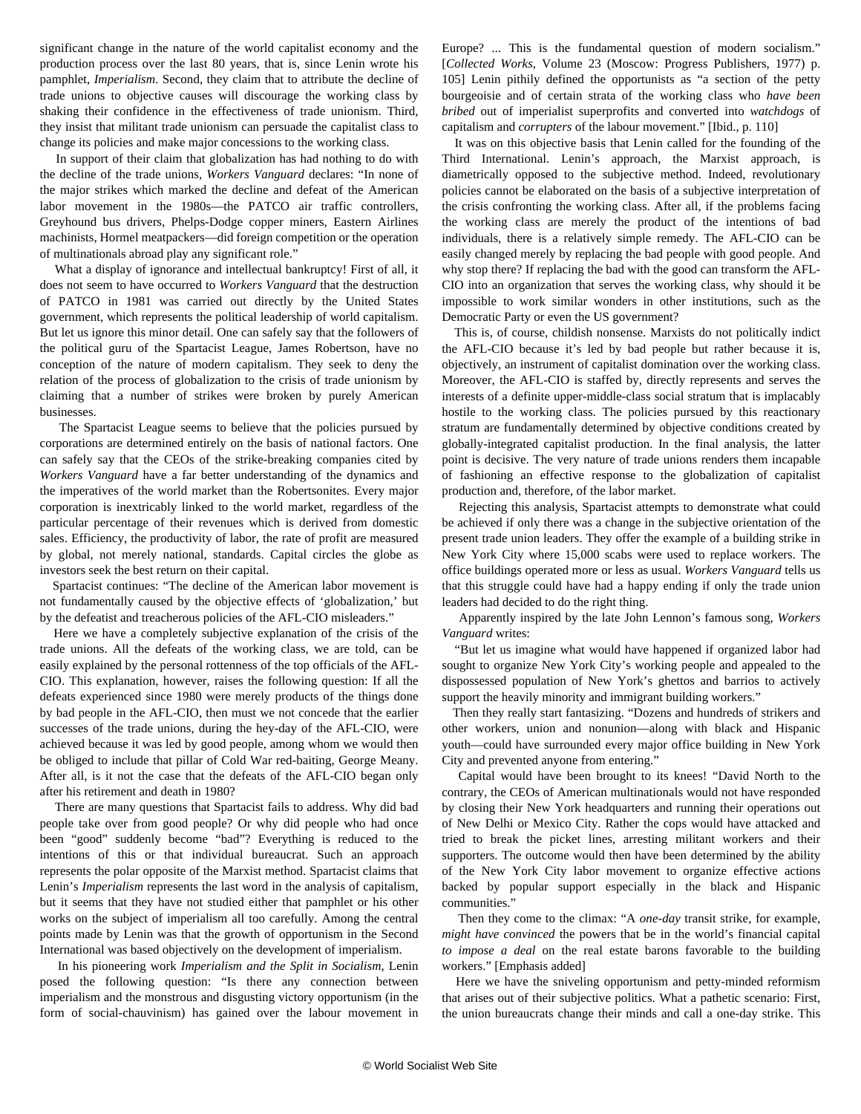significant change in the nature of the world capitalist economy and the production process over the last 80 years, that is, since Lenin wrote his pamphlet, *Imperialism*. Second, they claim that to attribute the decline of trade unions to objective causes will discourage the working class by shaking their confidence in the effectiveness of trade unionism. Third, they insist that militant trade unionism can persuade the capitalist class to change its policies and make major concessions to the working class.

 In support of their claim that globalization has had nothing to do with the decline of the trade unions, *Workers Vanguard* declares: "In none of the major strikes which marked the decline and defeat of the American labor movement in the 1980s—the PATCO air traffic controllers, Greyhound bus drivers, Phelps-Dodge copper miners, Eastern Airlines machinists, Hormel meatpackers—did foreign competition or the operation of multinationals abroad play any significant role."

 What a display of ignorance and intellectual bankruptcy! First of all, it does not seem to have occurred to *Workers Vanguard* that the destruction of PATCO in 1981 was carried out directly by the United States government, which represents the political leadership of world capitalism. But let us ignore this minor detail. One can safely say that the followers of the political guru of the Spartacist League, James Robertson, have no conception of the nature of modern capitalism. They seek to deny the relation of the process of globalization to the crisis of trade unionism by claiming that a number of strikes were broken by purely American businesses.

 The Spartacist League seems to believe that the policies pursued by corporations are determined entirely on the basis of national factors. One can safely say that the CEOs of the strike-breaking companies cited by *Workers Vanguard* have a far better understanding of the dynamics and the imperatives of the world market than the Robertsonites. Every major corporation is inextricably linked to the world market, regardless of the particular percentage of their revenues which is derived from domestic sales. Efficiency, the productivity of labor, the rate of profit are measured by global, not merely national, standards. Capital circles the globe as investors seek the best return on their capital.

 Spartacist continues: "The decline of the American labor movement is not fundamentally caused by the objective effects of 'globalization,' but by the defeatist and treacherous policies of the AFL-CIO misleaders."

 Here we have a completely subjective explanation of the crisis of the trade unions. All the defeats of the working class, we are told, can be easily explained by the personal rottenness of the top officials of the AFL-CIO. This explanation, however, raises the following question: If all the defeats experienced since 1980 were merely products of the things done by bad people in the AFL-CIO, then must we not concede that the earlier successes of the trade unions, during the hey-day of the AFL-CIO, were achieved because it was led by good people, among whom we would then be obliged to include that pillar of Cold War red-baiting, George Meany. After all, is it not the case that the defeats of the AFL-CIO began only after his retirement and death in 1980?

 There are many questions that Spartacist fails to address. Why did bad people take over from good people? Or why did people who had once been "good" suddenly become "bad"? Everything is reduced to the intentions of this or that individual bureaucrat. Such an approach represents the polar opposite of the Marxist method. Spartacist claims that Lenin's *Imperialism* represents the last word in the analysis of capitalism, but it seems that they have not studied either that pamphlet or his other works on the subject of imperialism all too carefully. Among the central points made by Lenin was that the growth of opportunism in the Second International was based objectively on the development of imperialism.

 In his pioneering work *Imperialism and the Split in Socialism*, Lenin posed the following question: "Is there any connection between imperialism and the monstrous and disgusting victory opportunism (in the form of social-chauvinism) has gained over the labour movement in

Europe? ... This is the fundamental question of modern socialism." [*Collected Works*, Volume 23 (Moscow: Progress Publishers, 1977) p. 105] Lenin pithily defined the opportunists as "a section of the petty bourgeoisie and of certain strata of the working class who *have been bribed* out of imperialist superprofits and converted into *watchdogs* of capitalism and *corrupters* of the labour movement." [Ibid., p. 110]

 It was on this objective basis that Lenin called for the founding of the Third International. Lenin's approach, the Marxist approach, is diametrically opposed to the subjective method. Indeed, revolutionary policies cannot be elaborated on the basis of a subjective interpretation of the crisis confronting the working class. After all, if the problems facing the working class are merely the product of the intentions of bad individuals, there is a relatively simple remedy. The AFL-CIO can be easily changed merely by replacing the bad people with good people. And why stop there? If replacing the bad with the good can transform the AFL-CIO into an organization that serves the working class, why should it be impossible to work similar wonders in other institutions, such as the Democratic Party or even the US government?

 This is, of course, childish nonsense. Marxists do not politically indict the AFL-CIO because it's led by bad people but rather because it is, objectively, an instrument of capitalist domination over the working class. Moreover, the AFL-CIO is staffed by, directly represents and serves the interests of a definite upper-middle-class social stratum that is implacably hostile to the working class. The policies pursued by this reactionary stratum are fundamentally determined by objective conditions created by globally-integrated capitalist production. In the final analysis, the latter point is decisive. The very nature of trade unions renders them incapable of fashioning an effective response to the globalization of capitalist production and, therefore, of the labor market.

 Rejecting this analysis, Spartacist attempts to demonstrate what could be achieved if only there was a change in the subjective orientation of the present trade union leaders. They offer the example of a building strike in New York City where 15,000 scabs were used to replace workers. The office buildings operated more or less as usual. *Workers Vanguard* tells us that this struggle could have had a happy ending if only the trade union leaders had decided to do the right thing.

 Apparently inspired by the late John Lennon's famous song, *Workers Vanguard* writes:

 "But let us imagine what would have happened if organized labor had sought to organize New York City's working people and appealed to the dispossessed population of New York's ghettos and barrios to actively support the heavily minority and immigrant building workers."

 Then they really start fantasizing. "Dozens and hundreds of strikers and other workers, union and nonunion—along with black and Hispanic youth—could have surrounded every major office building in New York City and prevented anyone from entering."

 Capital would have been brought to its knees! "David North to the contrary, the CEOs of American multinationals would not have responded by closing their New York headquarters and running their operations out of New Delhi or Mexico City. Rather the cops would have attacked and tried to break the picket lines, arresting militant workers and their supporters. The outcome would then have been determined by the ability of the New York City labor movement to organize effective actions backed by popular support especially in the black and Hispanic communities."

 Then they come to the climax: "A *one-day* transit strike, for example*, might have convinced* the powers that be in the world's financial capital *to impose a deal* on the real estate barons favorable to the building workers." [Emphasis added]

 Here we have the sniveling opportunism and petty-minded reformism that arises out of their subjective politics. What a pathetic scenario: First, the union bureaucrats change their minds and call a one-day strike. This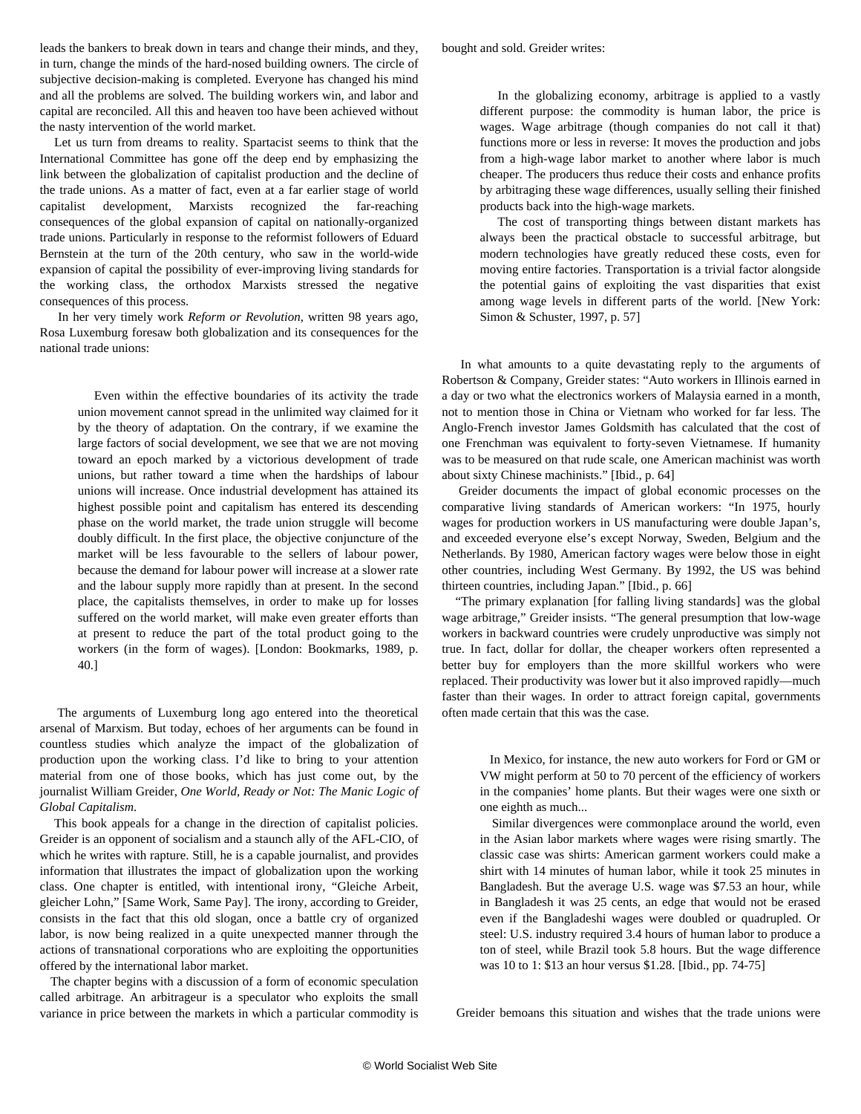leads the bankers to break down in tears and change their minds, and they, in turn, change the minds of the hard-nosed building owners. The circle of subjective decision-making is completed. Everyone has changed his mind and all the problems are solved. The building workers win, and labor and capital are reconciled. All this and heaven too have been achieved without the nasty intervention of the world market.

 Let us turn from dreams to reality. Spartacist seems to think that the International Committee has gone off the deep end by emphasizing the link between the globalization of capitalist production and the decline of the trade unions. As a matter of fact, even at a far earlier stage of world capitalist development, Marxists recognized the far-reaching consequences of the global expansion of capital on nationally-organized trade unions. Particularly in response to the reformist followers of Eduard Bernstein at the turn of the 20th century, who saw in the world-wide expansion of capital the possibility of ever-improving living standards for the working class, the orthodox Marxists stressed the negative consequences of this process.

 In her very timely work *Reform or Revolution*, written 98 years ago, Rosa Luxemburg foresaw both globalization and its consequences for the national trade unions:

 Even within the effective boundaries of its activity the trade union movement cannot spread in the unlimited way claimed for it by the theory of adaptation. On the contrary, if we examine the large factors of social development, we see that we are not moving toward an epoch marked by a victorious development of trade unions, but rather toward a time when the hardships of labour unions will increase. Once industrial development has attained its highest possible point and capitalism has entered its descending phase on the world market, the trade union struggle will become doubly difficult. In the first place, the objective conjuncture of the market will be less favourable to the sellers of labour power, because the demand for labour power will increase at a slower rate and the labour supply more rapidly than at present. In the second place, the capitalists themselves, in order to make up for losses suffered on the world market, will make even greater efforts than at present to reduce the part of the total product going to the workers (in the form of wages). [London: Bookmarks, 1989, p. 40.]

 The arguments of Luxemburg long ago entered into the theoretical arsenal of Marxism. But today, echoes of her arguments can be found in countless studies which analyze the impact of the globalization of production upon the working class. I'd like to bring to your attention material from one of those books, which has just come out, by the journalist William Greider, *One World, Ready or Not: The Manic Logic of Global Capitalism*.

 This book appeals for a change in the direction of capitalist policies. Greider is an opponent of socialism and a staunch ally of the AFL-CIO, of which he writes with rapture. Still, he is a capable journalist, and provides information that illustrates the impact of globalization upon the working class. One chapter is entitled, with intentional irony, "Gleiche Arbeit, gleicher Lohn," [Same Work, Same Pay]. The irony, according to Greider, consists in the fact that this old slogan, once a battle cry of organized labor, is now being realized in a quite unexpected manner through the actions of transnational corporations who are exploiting the opportunities offered by the international labor market.

 The chapter begins with a discussion of a form of economic speculation called arbitrage. An arbitrageur is a speculator who exploits the small variance in price between the markets in which a particular commodity is

 In the globalizing economy, arbitrage is applied to a vastly different purpose: the commodity is human labor, the price is wages. Wage arbitrage (though companies do not call it that) functions more or less in reverse: It moves the production and jobs from a high-wage labor market to another where labor is much cheaper. The producers thus reduce their costs and enhance profits by arbitraging these wage differences, usually selling their finished products back into the high-wage markets.

 The cost of transporting things between distant markets has always been the practical obstacle to successful arbitrage, but modern technologies have greatly reduced these costs, even for moving entire factories. Transportation is a trivial factor alongside the potential gains of exploiting the vast disparities that exist among wage levels in different parts of the world. [New York: Simon & Schuster, 1997, p. 57]

 In what amounts to a quite devastating reply to the arguments of Robertson & Company, Greider states: "Auto workers in Illinois earned in a day or two what the electronics workers of Malaysia earned in a month, not to mention those in China or Vietnam who worked for far less. The Anglo-French investor James Goldsmith has calculated that the cost of one Frenchman was equivalent to forty-seven Vietnamese. If humanity was to be measured on that rude scale, one American machinist was worth about sixty Chinese machinists." [Ibid., p. 64]

 Greider documents the impact of global economic processes on the comparative living standards of American workers: "In 1975, hourly wages for production workers in US manufacturing were double Japan's, and exceeded everyone else's except Norway, Sweden, Belgium and the Netherlands. By 1980, American factory wages were below those in eight other countries, including West Germany. By 1992, the US was behind thirteen countries, including Japan." [Ibid., p. 66]

 "The primary explanation [for falling living standards] was the global wage arbitrage," Greider insists. "The general presumption that low-wage workers in backward countries were crudely unproductive was simply not true. In fact, dollar for dollar, the cheaper workers often represented a better buy for employers than the more skillful workers who were replaced. Their productivity was lower but it also improved rapidly—much faster than their wages. In order to attract foreign capital, governments often made certain that this was the case.

 In Mexico, for instance, the new auto workers for Ford or GM or VW might perform at 50 to 70 percent of the efficiency of workers in the companies' home plants. But their wages were one sixth or one eighth as much...

 Similar divergences were commonplace around the world, even in the Asian labor markets where wages were rising smartly. The classic case was shirts: American garment workers could make a shirt with 14 minutes of human labor, while it took 25 minutes in Bangladesh. But the average U.S. wage was \$7.53 an hour, while in Bangladesh it was 25 cents, an edge that would not be erased even if the Bangladeshi wages were doubled or quadrupled. Or steel: U.S. industry required 3.4 hours of human labor to produce a ton of steel, while Brazil took 5.8 hours. But the wage difference was 10 to 1: \$13 an hour versus \$1.28. [Ibid., pp. 74-75]

Greider bemoans this situation and wishes that the trade unions were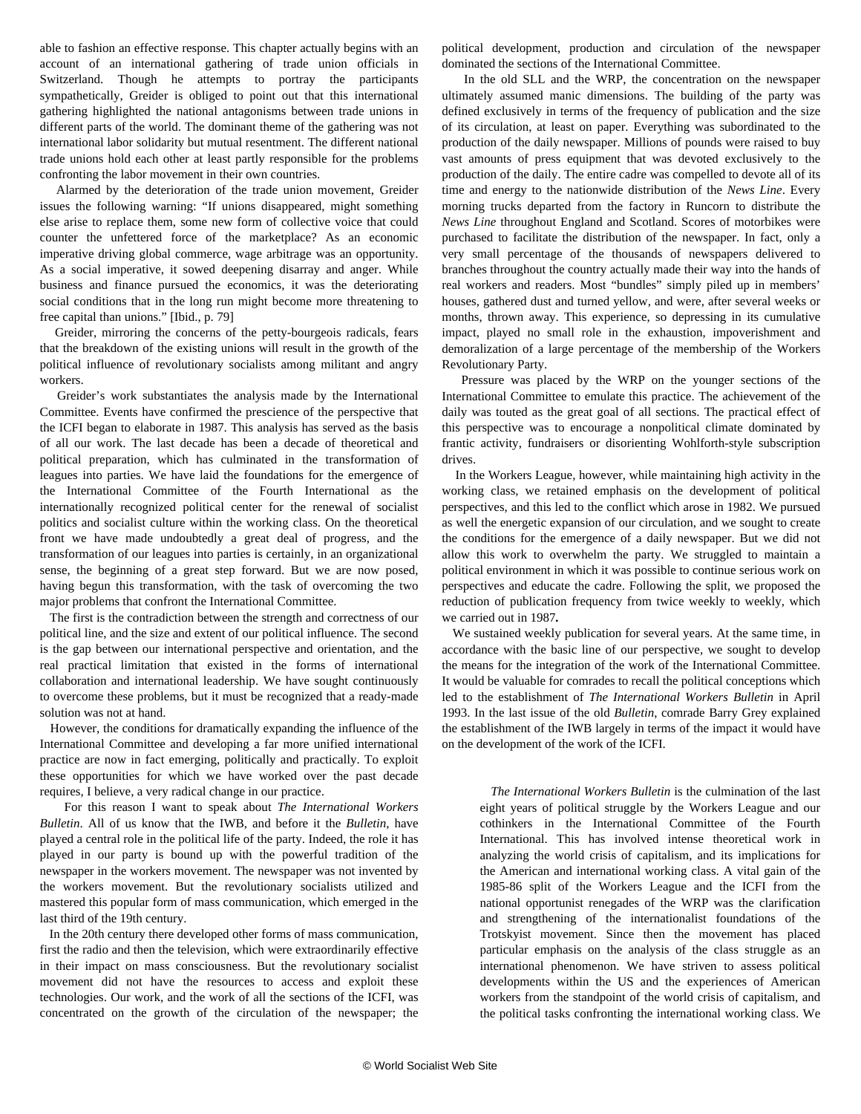able to fashion an effective response. This chapter actually begins with an account of an international gathering of trade union officials in Switzerland. Though he attempts to portray the participants sympathetically, Greider is obliged to point out that this international gathering highlighted the national antagonisms between trade unions in different parts of the world. The dominant theme of the gathering was not international labor solidarity but mutual resentment. The different national trade unions hold each other at least partly responsible for the problems confronting the labor movement in their own countries.

 Alarmed by the deterioration of the trade union movement, Greider issues the following warning: "If unions disappeared, might something else arise to replace them, some new form of collective voice that could counter the unfettered force of the marketplace? As an economic imperative driving global commerce, wage arbitrage was an opportunity. As a social imperative, it sowed deepening disarray and anger. While business and finance pursued the economics, it was the deteriorating social conditions that in the long run might become more threatening to free capital than unions." [Ibid., p. 79]

 Greider, mirroring the concerns of the petty-bourgeois radicals, fears that the breakdown of the existing unions will result in the growth of the political influence of revolutionary socialists among militant and angry workers.

 Greider's work substantiates the analysis made by the International Committee. Events have confirmed the prescience of the perspective that the ICFI began to elaborate in 1987. This analysis has served as the basis of all our work. The last decade has been a decade of theoretical and political preparation, which has culminated in the transformation of leagues into parties. We have laid the foundations for the emergence of the International Committee of the Fourth International as the internationally recognized political center for the renewal of socialist politics and socialist culture within the working class. On the theoretical front we have made undoubtedly a great deal of progress, and the transformation of our leagues into parties is certainly, in an organizational sense, the beginning of a great step forward. But we are now posed, having begun this transformation, with the task of overcoming the two major problems that confront the International Committee.

 The first is the contradiction between the strength and correctness of our political line, and the size and extent of our political influence. The second is the gap between our international perspective and orientation, and the real practical limitation that existed in the forms of international collaboration and international leadership. We have sought continuously to overcome these problems, but it must be recognized that a ready-made solution was not at hand.

 However, the conditions for dramatically expanding the influence of the International Committee and developing a far more unified international practice are now in fact emerging, politically and practically. To exploit these opportunities for which we have worked over the past decade requires, I believe, a very radical change in our practice.

 For this reason I want to speak about *The International Workers Bulletin*. All of us know that the IWB, and before it the *Bulletin*, have played a central role in the political life of the party. Indeed, the role it has played in our party is bound up with the powerful tradition of the newspaper in the workers movement. The newspaper was not invented by the workers movement. But the revolutionary socialists utilized and mastered this popular form of mass communication, which emerged in the last third of the 19th century.

 In the 20th century there developed other forms of mass communication, first the radio and then the television, which were extraordinarily effective in their impact on mass consciousness. But the revolutionary socialist movement did not have the resources to access and exploit these technologies. Our work, and the work of all the sections of the ICFI, was concentrated on the growth of the circulation of the newspaper; the political development, production and circulation of the newspaper dominated the sections of the International Committee.

 In the old SLL and the WRP, the concentration on the newspaper ultimately assumed manic dimensions. The building of the party was defined exclusively in terms of the frequency of publication and the size of its circulation, at least on paper. Everything was subordinated to the production of the daily newspaper. Millions of pounds were raised to buy vast amounts of press equipment that was devoted exclusively to the production of the daily. The entire cadre was compelled to devote all of its time and energy to the nationwide distribution of the *News Line*. Every morning trucks departed from the factory in Runcorn to distribute the *News Line* throughout England and Scotland. Scores of motorbikes were purchased to facilitate the distribution of the newspaper. In fact, only a very small percentage of the thousands of newspapers delivered to branches throughout the country actually made their way into the hands of real workers and readers. Most "bundles" simply piled up in members' houses, gathered dust and turned yellow, and were, after several weeks or months, thrown away. This experience, so depressing in its cumulative impact, played no small role in the exhaustion, impoverishment and demoralization of a large percentage of the membership of the Workers Revolutionary Party.

 Pressure was placed by the WRP on the younger sections of the International Committee to emulate this practice. The achievement of the daily was touted as the great goal of all sections. The practical effect of this perspective was to encourage a nonpolitical climate dominated by frantic activity, fundraisers or disorienting Wohlforth-style subscription drives.

 In the Workers League, however, while maintaining high activity in the working class, we retained emphasis on the development of political perspectives, and this led to the conflict which arose in 1982. We pursued as well the energetic expansion of our circulation, and we sought to create the conditions for the emergence of a daily newspaper. But we did not allow this work to overwhelm the party. We struggled to maintain a political environment in which it was possible to continue serious work on perspectives and educate the cadre. Following the split, we proposed the reduction of publication frequency from twice weekly to weekly, which we carried out in 1987*.*

 We sustained weekly publication for several years. At the same time, in accordance with the basic line of our perspective, we sought to develop the means for the integration of the work of the International Committee. It would be valuable for comrades to recall the political conceptions which led to the establishment of *The International Workers Bulletin* in April 1993. In the last issue of the old *Bulletin*, comrade Barry Grey explained the establishment of the IWB largely in terms of the impact it would have on the development of the work of the ICFI.

 *The International Workers Bulletin* is the culmination of the last eight years of political struggle by the Workers League and our cothinkers in the International Committee of the Fourth International. This has involved intense theoretical work in analyzing the world crisis of capitalism, and its implications for the American and international working class. A vital gain of the 1985-86 split of the Workers League and the ICFI from the national opportunist renegades of the WRP was the clarification and strengthening of the internationalist foundations of the Trotskyist movement. Since then the movement has placed particular emphasis on the analysis of the class struggle as an international phenomenon. We have striven to assess political developments within the US and the experiences of American workers from the standpoint of the world crisis of capitalism, and the political tasks confronting the international working class. We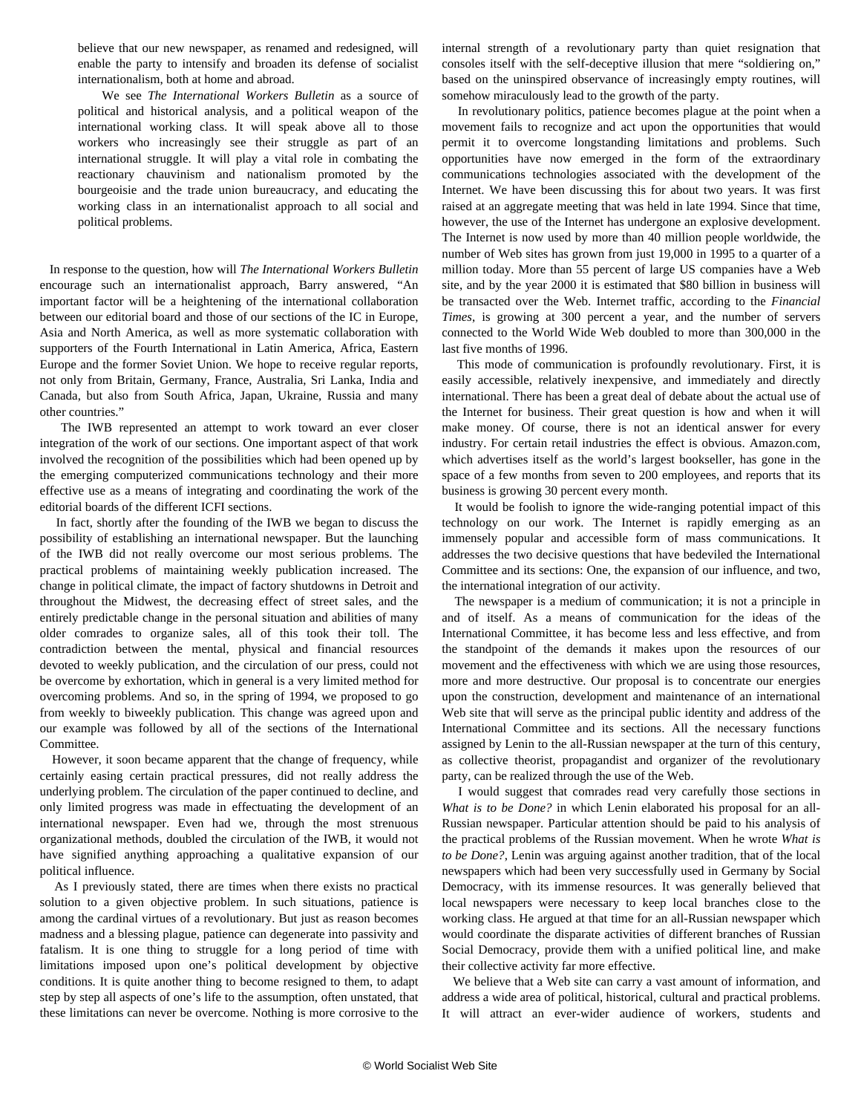believe that our new newspaper, as renamed and redesigned, will enable the party to intensify and broaden its defense of socialist internationalism, both at home and abroad.

 We see *The International Workers Bulletin* as a source of political and historical analysis, and a political weapon of the international working class. It will speak above all to those workers who increasingly see their struggle as part of an international struggle. It will play a vital role in combating the reactionary chauvinism and nationalism promoted by the bourgeoisie and the trade union bureaucracy, and educating the working class in an internationalist approach to all social and political problems.

 In response to the question, how will *The International Workers Bulletin* encourage such an internationalist approach, Barry answered, "An important factor will be a heightening of the international collaboration between our editorial board and those of our sections of the IC in Europe, Asia and North America, as well as more systematic collaboration with supporters of the Fourth International in Latin America, Africa, Eastern Europe and the former Soviet Union. We hope to receive regular reports, not only from Britain, Germany, France, Australia, Sri Lanka, India and Canada, but also from South Africa, Japan, Ukraine, Russia and many other countries."

 The IWB represented an attempt to work toward an ever closer integration of the work of our sections. One important aspect of that work involved the recognition of the possibilities which had been opened up by the emerging computerized communications technology and their more effective use as a means of integrating and coordinating the work of the editorial boards of the different ICFI sections.

 In fact, shortly after the founding of the IWB we began to discuss the possibility of establishing an international newspaper. But the launching of the IWB did not really overcome our most serious problems. The practical problems of maintaining weekly publication increased. The change in political climate, the impact of factory shutdowns in Detroit and throughout the Midwest, the decreasing effect of street sales, and the entirely predictable change in the personal situation and abilities of many older comrades to organize sales, all of this took their toll. The contradiction between the mental, physical and financial resources devoted to weekly publication, and the circulation of our press, could not be overcome by exhortation, which in general is a very limited method for overcoming problems. And so, in the spring of 1994, we proposed to go from weekly to biweekly publication*.* This change was agreed upon and our example was followed by all of the sections of the International Committee.

 However, it soon became apparent that the change of frequency, while certainly easing certain practical pressures, did not really address the underlying problem. The circulation of the paper continued to decline, and only limited progress was made in effectuating the development of an international newspaper. Even had we, through the most strenuous organizational methods, doubled the circulation of the IWB, it would not have signified anything approaching a qualitative expansion of our political influence.

 As I previously stated, there are times when there exists no practical solution to a given objective problem. In such situations, patience is among the cardinal virtues of a revolutionary. But just as reason becomes madness and a blessing plague, patience can degenerate into passivity and fatalism. It is one thing to struggle for a long period of time with limitations imposed upon one's political development by objective conditions. It is quite another thing to become resigned to them, to adapt step by step all aspects of one's life to the assumption, often unstated, that these limitations can never be overcome. Nothing is more corrosive to the internal strength of a revolutionary party than quiet resignation that consoles itself with the self-deceptive illusion that mere "soldiering on," based on the uninspired observance of increasingly empty routines, will somehow miraculously lead to the growth of the party.

 In revolutionary politics, patience becomes plague at the point when a movement fails to recognize and act upon the opportunities that would permit it to overcome longstanding limitations and problems. Such opportunities have now emerged in the form of the extraordinary communications technologies associated with the development of the Internet. We have been discussing this for about two years. It was first raised at an aggregate meeting that was held in late 1994. Since that time, however, the use of the Internet has undergone an explosive development. The Internet is now used by more than 40 million people worldwide, the number of Web sites has grown from just 19,000 in 1995 to a quarter of a million today. More than 55 percent of large US companies have a Web site, and by the year 2000 it is estimated that \$80 billion in business will be transacted over the Web. Internet traffic, according to the *Financial Times*, is growing at 300 percent a year, and the number of servers connected to the World Wide Web doubled to more than 300,000 in the last five months of 1996.

 This mode of communication is profoundly revolutionary. First, it is easily accessible, relatively inexpensive, and immediately and directly international. There has been a great deal of debate about the actual use of the Internet for business. Their great question is how and when it will make money. Of course, there is not an identical answer for every industry. For certain retail industries the effect is obvious. Amazon.com, which advertises itself as the world's largest bookseller, has gone in the space of a few months from seven to 200 employees, and reports that its business is growing 30 percent every month.

 It would be foolish to ignore the wide-ranging potential impact of this technology on our work. The Internet is rapidly emerging as an immensely popular and accessible form of mass communications. It addresses the two decisive questions that have bedeviled the International Committee and its sections: One, the expansion of our influence, and two, the international integration of our activity.

 The newspaper is a medium of communication; it is not a principle in and of itself. As a means of communication for the ideas of the International Committee, it has become less and less effective, and from the standpoint of the demands it makes upon the resources of our movement and the effectiveness with which we are using those resources, more and more destructive. Our proposal is to concentrate our energies upon the construction, development and maintenance of an international Web site that will serve as the principal public identity and address of the International Committee and its sections. All the necessary functions assigned by Lenin to the all-Russian newspaper at the turn of this century, as collective theorist, propagandist and organizer of the revolutionary party, can be realized through the use of the Web.

 I would suggest that comrades read very carefully those sections in *What is to be Done?* in which Lenin elaborated his proposal for an all-Russian newspaper. Particular attention should be paid to his analysis of the practical problems of the Russian movement. When he wrote *What is to be Done?*, Lenin was arguing against another tradition, that of the local newspapers which had been very successfully used in Germany by Social Democracy, with its immense resources. It was generally believed that local newspapers were necessary to keep local branches close to the working class. He argued at that time for an all-Russian newspaper which would coordinate the disparate activities of different branches of Russian Social Democracy, provide them with a unified political line, and make their collective activity far more effective.

 We believe that a Web site can carry a vast amount of information, and address a wide area of political, historical, cultural and practical problems. It will attract an ever-wider audience of workers, students and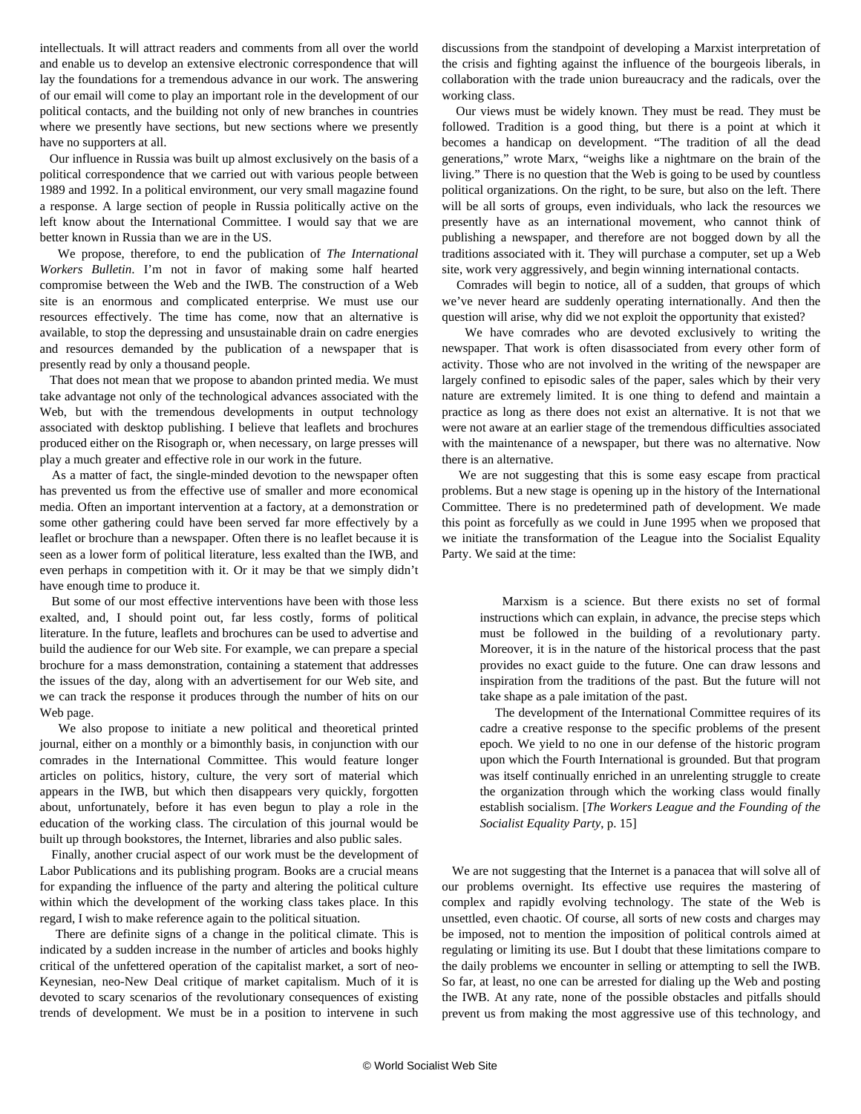intellectuals. It will attract readers and comments from all over the world and enable us to develop an extensive electronic correspondence that will lay the foundations for a tremendous advance in our work. The answering of our email will come to play an important role in the development of our political contacts, and the building not only of new branches in countries where we presently have sections, but new sections where we presently have no supporters at all.

 Our influence in Russia was built up almost exclusively on the basis of a political correspondence that we carried out with various people between 1989 and 1992. In a political environment, our very small magazine found a response. A large section of people in Russia politically active on the left know about the International Committee. I would say that we are better known in Russia than we are in the US.

 We propose, therefore, to end the publication of *The International Workers Bulletin*. I'm not in favor of making some half hearted compromise between the Web and the IWB. The construction of a Web site is an enormous and complicated enterprise. We must use our resources effectively. The time has come, now that an alternative is available, to stop the depressing and unsustainable drain on cadre energies and resources demanded by the publication of a newspaper that is presently read by only a thousand people.

 That does not mean that we propose to abandon printed media. We must take advantage not only of the technological advances associated with the Web, but with the tremendous developments in output technology associated with desktop publishing. I believe that leaflets and brochures produced either on the Risograph or, when necessary, on large presses will play a much greater and effective role in our work in the future.

 As a matter of fact, the single-minded devotion to the newspaper often has prevented us from the effective use of smaller and more economical media. Often an important intervention at a factory, at a demonstration or some other gathering could have been served far more effectively by a leaflet or brochure than a newspaper. Often there is no leaflet because it is seen as a lower form of political literature, less exalted than the IWB, and even perhaps in competition with it. Or it may be that we simply didn't have enough time to produce it.

 But some of our most effective interventions have been with those less exalted, and, I should point out, far less costly, forms of political literature. In the future, leaflets and brochures can be used to advertise and build the audience for our Web site. For example, we can prepare a special brochure for a mass demonstration, containing a statement that addresses the issues of the day, along with an advertisement for our Web site, and we can track the response it produces through the number of hits on our Web page.

 We also propose to initiate a new political and theoretical printed journal, either on a monthly or a bimonthly basis, in conjunction with our comrades in the International Committee. This would feature longer articles on politics, history, culture, the very sort of material which appears in the IWB, but which then disappears very quickly, forgotten about, unfortunately, before it has even begun to play a role in the education of the working class. The circulation of this journal would be built up through bookstores, the Internet, libraries and also public sales.

 Finally, another crucial aspect of our work must be the development of Labor Publications and its publishing program. Books are a crucial means for expanding the influence of the party and altering the political culture within which the development of the working class takes place. In this regard, I wish to make reference again to the political situation.

 There are definite signs of a change in the political climate. This is indicated by a sudden increase in the number of articles and books highly critical of the unfettered operation of the capitalist market, a sort of neo-Keynesian, neo-New Deal critique of market capitalism. Much of it is devoted to scary scenarios of the revolutionary consequences of existing trends of development. We must be in a position to intervene in such discussions from the standpoint of developing a Marxist interpretation of the crisis and fighting against the influence of the bourgeois liberals, in collaboration with the trade union bureaucracy and the radicals, over the working class.

 Our views must be widely known. They must be read. They must be followed. Tradition is a good thing, but there is a point at which it becomes a handicap on development. "The tradition of all the dead generations," wrote Marx, "weighs like a nightmare on the brain of the living." There is no question that the Web is going to be used by countless political organizations. On the right, to be sure, but also on the left. There will be all sorts of groups, even individuals, who lack the resources we presently have as an international movement, who cannot think of publishing a newspaper, and therefore are not bogged down by all the traditions associated with it. They will purchase a computer, set up a Web site, work very aggressively, and begin winning international contacts.

 Comrades will begin to notice, all of a sudden, that groups of which we've never heard are suddenly operating internationally. And then the question will arise, why did we not exploit the opportunity that existed?

 We have comrades who are devoted exclusively to writing the newspaper. That work is often disassociated from every other form of activity. Those who are not involved in the writing of the newspaper are largely confined to episodic sales of the paper, sales which by their very nature are extremely limited. It is one thing to defend and maintain a practice as long as there does not exist an alternative. It is not that we were not aware at an earlier stage of the tremendous difficulties associated with the maintenance of a newspaper, but there was no alternative. Now there is an alternative.

 We are not suggesting that this is some easy escape from practical problems. But a new stage is opening up in the history of the International Committee. There is no predetermined path of development. We made this point as forcefully as we could in June 1995 when we proposed that we initiate the transformation of the League into the Socialist Equality Party. We said at the time:

 Marxism is a science. But there exists no set of formal instructions which can explain, in advance, the precise steps which must be followed in the building of a revolutionary party. Moreover, it is in the nature of the historical process that the past provides no exact guide to the future. One can draw lessons and inspiration from the traditions of the past. But the future will not take shape as a pale imitation of the past.

 The development of the International Committee requires of its cadre a creative response to the specific problems of the present epoch. We yield to no one in our defense of the historic program upon which the Fourth International is grounded. But that program was itself continually enriched in an unrelenting struggle to create the organization through which the working class would finally establish socialism. [*The Workers League and the Founding of the Socialist Equality Party*, p. 15]

 We are not suggesting that the Internet is a panacea that will solve all of our problems overnight. Its effective use requires the mastering of complex and rapidly evolving technology. The state of the Web is unsettled, even chaotic. Of course, all sorts of new costs and charges may be imposed, not to mention the imposition of political controls aimed at regulating or limiting its use. But I doubt that these limitations compare to the daily problems we encounter in selling or attempting to sell the IWB. So far, at least, no one can be arrested for dialing up the Web and posting the IWB. At any rate, none of the possible obstacles and pitfalls should prevent us from making the most aggressive use of this technology, and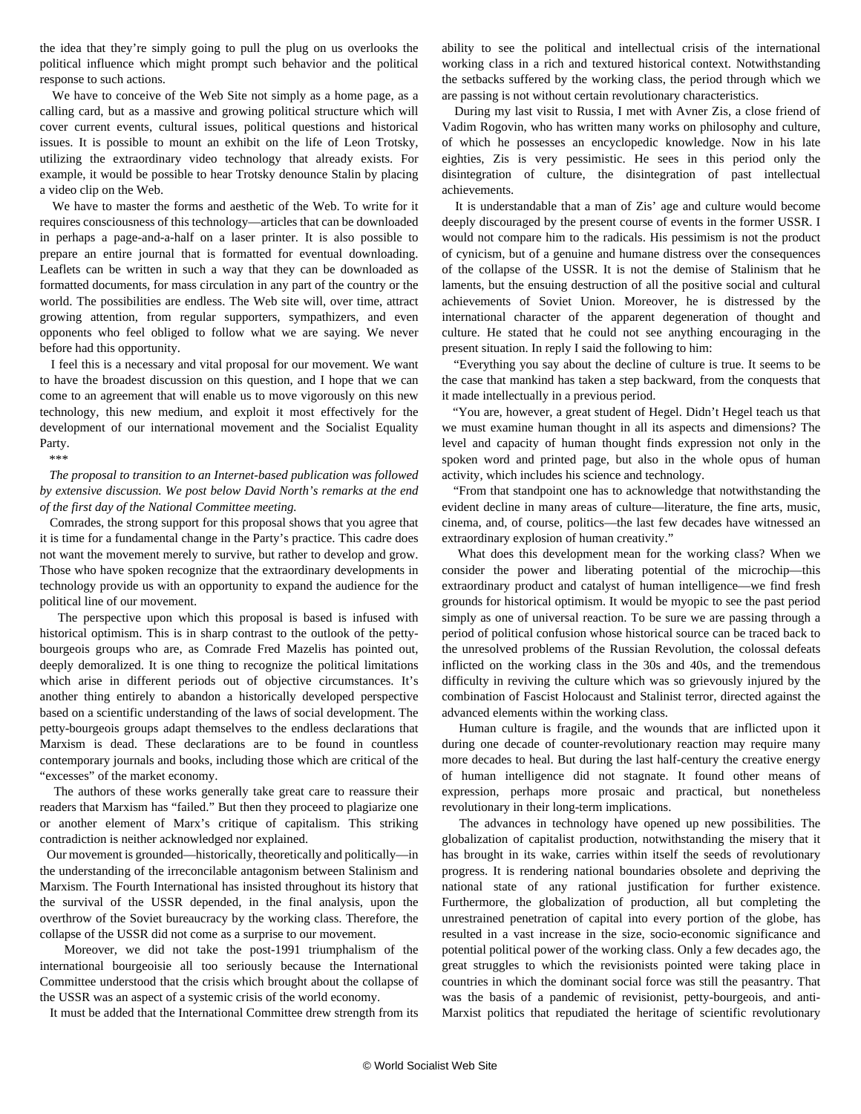the idea that they're simply going to pull the plug on us overlooks the political influence which might prompt such behavior and the political response to such actions.

 We have to conceive of the Web Site not simply as a home page, as a calling card, but as a massive and growing political structure which will cover current events, cultural issues, political questions and historical issues. It is possible to mount an exhibit on the life of Leon Trotsky, utilizing the extraordinary video technology that already exists. For example, it would be possible to hear Trotsky denounce Stalin by placing a video clip on the Web.

 We have to master the forms and aesthetic of the Web. To write for it requires consciousness of this technology—articles that can be downloaded in perhaps a page-and-a-half on a laser printer. It is also possible to prepare an entire journal that is formatted for eventual downloading. Leaflets can be written in such a way that they can be downloaded as formatted documents, for mass circulation in any part of the country or the world. The possibilities are endless. The Web site will, over time, attract growing attention, from regular supporters, sympathizers, and even opponents who feel obliged to follow what we are saying. We never before had this opportunity.

 I feel this is a necessary and vital proposal for our movement. We want to have the broadest discussion on this question, and I hope that we can come to an agreement that will enable us to move vigorously on this new technology, this new medium, and exploit it most effectively for the development of our international movement and the Socialist Equality Party.

\*\*\*

 *The proposal to transition to an Internet-based publication was followed by extensive discussion. We post below David North's remarks at the end of the first day of the National Committee meeting.* 

 Comrades, the strong support for this proposal shows that you agree that it is time for a fundamental change in the Party's practice. This cadre does not want the movement merely to survive, but rather to develop and grow. Those who have spoken recognize that the extraordinary developments in technology provide us with an opportunity to expand the audience for the political line of our movement.

 The perspective upon which this proposal is based is infused with historical optimism. This is in sharp contrast to the outlook of the pettybourgeois groups who are, as Comrade Fred Mazelis has pointed out, deeply demoralized. It is one thing to recognize the political limitations which arise in different periods out of objective circumstances. It's another thing entirely to abandon a historically developed perspective based on a scientific understanding of the laws of social development. The petty-bourgeois groups adapt themselves to the endless declarations that Marxism is dead. These declarations are to be found in countless contemporary journals and books, including those which are critical of the "excesses" of the market economy.

 The authors of these works generally take great care to reassure their readers that Marxism has "failed." But then they proceed to plagiarize one or another element of Marx's critique of capitalism. This striking contradiction is neither acknowledged nor explained.

 Our movement is grounded—historically, theoretically and politically—in the understanding of the irreconcilable antagonism between Stalinism and Marxism. The Fourth International has insisted throughout its history that the survival of the USSR depended, in the final analysis, upon the overthrow of the Soviet bureaucracy by the working class. Therefore, the collapse of the USSR did not come as a surprise to our movement.

 Moreover, we did not take the post-1991 triumphalism of the international bourgeoisie all too seriously because the International Committee understood that the crisis which brought about the collapse of the USSR was an aspect of a systemic crisis of the world economy.

It must be added that the International Committee drew strength from its

ability to see the political and intellectual crisis of the international working class in a rich and textured historical context. Notwithstanding the setbacks suffered by the working class, the period through which we are passing is not without certain revolutionary characteristics.

 During my last visit to Russia, I met with Avner Zis, a close friend of Vadim Rogovin, who has written many works on philosophy and culture, of which he possesses an encyclopedic knowledge. Now in his late eighties, Zis is very pessimistic. He sees in this period only the disintegration of culture, the disintegration of past intellectual achievements.

 It is understandable that a man of Zis' age and culture would become deeply discouraged by the present course of events in the former USSR. I would not compare him to the radicals. His pessimism is not the product of cynicism, but of a genuine and humane distress over the consequences of the collapse of the USSR. It is not the demise of Stalinism that he laments, but the ensuing destruction of all the positive social and cultural achievements of Soviet Union. Moreover, he is distressed by the international character of the apparent degeneration of thought and culture. He stated that he could not see anything encouraging in the present situation. In reply I said the following to him:

 "Everything you say about the decline of culture is true. It seems to be the case that mankind has taken a step backward, from the conquests that it made intellectually in a previous period.

 "You are, however, a great student of Hegel. Didn't Hegel teach us that we must examine human thought in all its aspects and dimensions? The level and capacity of human thought finds expression not only in the spoken word and printed page, but also in the whole opus of human activity, which includes his science and technology.

 "From that standpoint one has to acknowledge that notwithstanding the evident decline in many areas of culture—literature, the fine arts, music, cinema, and, of course, politics—the last few decades have witnessed an extraordinary explosion of human creativity."

 What does this development mean for the working class? When we consider the power and liberating potential of the microchip—this extraordinary product and catalyst of human intelligence—we find fresh grounds for historical optimism. It would be myopic to see the past period simply as one of universal reaction. To be sure we are passing through a period of political confusion whose historical source can be traced back to the unresolved problems of the Russian Revolution, the colossal defeats inflicted on the working class in the 30s and 40s, and the tremendous difficulty in reviving the culture which was so grievously injured by the combination of Fascist Holocaust and Stalinist terror, directed against the advanced elements within the working class.

 Human culture is fragile, and the wounds that are inflicted upon it during one decade of counter-revolutionary reaction may require many more decades to heal. But during the last half-century the creative energy of human intelligence did not stagnate. It found other means of expression, perhaps more prosaic and practical, but nonetheless revolutionary in their long-term implications.

 The advances in technology have opened up new possibilities. The globalization of capitalist production, notwithstanding the misery that it has brought in its wake, carries within itself the seeds of revolutionary progress. It is rendering national boundaries obsolete and depriving the national state of any rational justification for further existence. Furthermore, the globalization of production, all but completing the unrestrained penetration of capital into every portion of the globe, has resulted in a vast increase in the size, socio-economic significance and potential political power of the working class. Only a few decades ago, the great struggles to which the revisionists pointed were taking place in countries in which the dominant social force was still the peasantry. That was the basis of a pandemic of revisionist, petty-bourgeois, and anti-Marxist politics that repudiated the heritage of scientific revolutionary